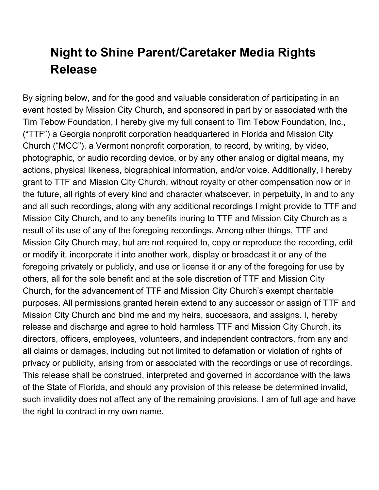## **Night to Shine Parent/Caretaker Media Rights Release**

By signing below, and for the good and valuable consideration of participating in an event hosted by Mission City Church, and sponsored in part by or associated with the Tim Tebow Foundation, I hereby give my full consent to Tim Tebow Foundation, Inc., ("TTF") a Georgia nonprofit corporation headquartered in Florida and Mission City Church ("MCC"), a Vermont nonprofit corporation, to record, by writing, by video, photographic, or audio recording device, or by any other analog or digital means, my actions, physical likeness, biographical information, and/or voice. Additionally, I hereby grant to TTF and Mission City Church, without royalty or other compensation now or in the future, all rights of every kind and character whatsoever, in perpetuity, in and to any and all such recordings, along with any additional recordings I might provide to TTF and Mission City Church, and to any benefits inuring to TTF and Mission City Church as a result of its use of any of the foregoing recordings. Among other things, TTF and Mission City Church may, but are not required to, copy or reproduce the recording, edit or modify it, incorporate it into another work, display or broadcast it or any of the foregoing privately or publicly, and use or license it or any of the foregoing for use by others, all for the sole benefit and at the sole discretion of TTF and Mission City Church, for the advancement of TTF and Mission City Church's exempt charitable purposes. All permissions granted herein extend to any successor or assign of TTF and Mission City Church and bind me and my heirs, successors, and assigns. I, hereby release and discharge and agree to hold harmless TTF and Mission City Church, its directors, officers, employees, volunteers, and independent contractors, from any and all claims or damages, including but not limited to defamation or violation of rights of privacy or publicity, arising from or associated with the recordings or use of recordings. This release shall be construed, interpreted and governed in accordance with the laws of the State of Florida, and should any provision of this release be determined invalid, such invalidity does not affect any of the remaining provisions. I am of full age and have the right to contract in my own name.